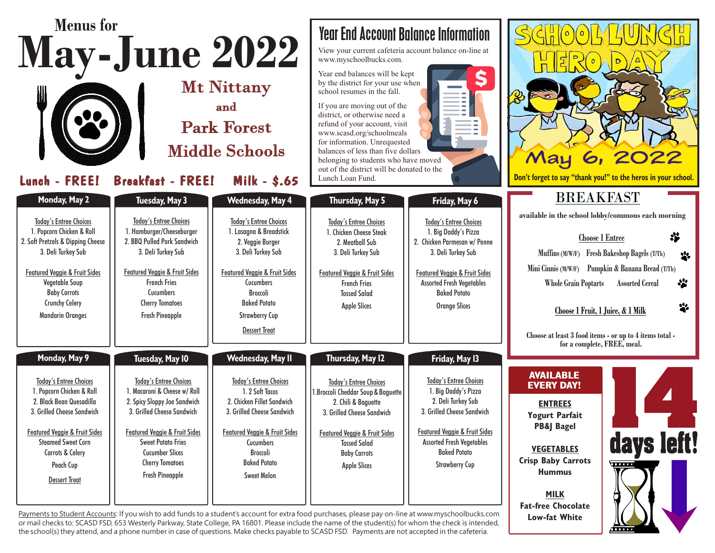| <b>Menus</b> for<br><b>May-June 2022</b><br><b>Mt Nittany</b><br>and<br><b>Park Forest</b><br><b>Middle Schools</b><br>Lunch - FREE!<br><b>Breakfast - FREE!</b><br><b>Milk - \$.65</b>                                                                                            |                                                                                                                                                                                                                                                                                                       |                                                                                                                                                                                                                                                                     | <b>Year End Account Balance Information</b><br>View your current cafeteria account balance on-line at<br>www.myschoolbucks.com.<br>Year end balances will be kept<br>by the district for your use when<br>school resumes in the fall.<br>If you are moving out of the<br>district, or otherwise need a<br>refund of your account, visit<br>www.scasd.org/schoolmeals<br>for information. Unrequested<br>balances of less than five dollars<br>belonging to students who have moved<br>out of the district will be donated to the<br>Lunch Loan Fund.                            |                                                                                                                                                                                                                                                             | $S$ $\left($ $\frac{1}{0}\right)$ $\left($ $\frac{1}{0}\right)$<br>May                                                                                                                                                         | Don't forget to say "thank you!" to the heros in your school.                                                                                                                                                                                                                                                |
|------------------------------------------------------------------------------------------------------------------------------------------------------------------------------------------------------------------------------------------------------------------------------------|-------------------------------------------------------------------------------------------------------------------------------------------------------------------------------------------------------------------------------------------------------------------------------------------------------|---------------------------------------------------------------------------------------------------------------------------------------------------------------------------------------------------------------------------------------------------------------------|---------------------------------------------------------------------------------------------------------------------------------------------------------------------------------------------------------------------------------------------------------------------------------------------------------------------------------------------------------------------------------------------------------------------------------------------------------------------------------------------------------------------------------------------------------------------------------|-------------------------------------------------------------------------------------------------------------------------------------------------------------------------------------------------------------------------------------------------------------|--------------------------------------------------------------------------------------------------------------------------------------------------------------------------------------------------------------------------------|--------------------------------------------------------------------------------------------------------------------------------------------------------------------------------------------------------------------------------------------------------------------------------------------------------------|
| Monday, May 2<br><b>Today's Entree Choices</b><br>1. Popcorn Chicken & Roll<br>2. Soft Pretzels & Dipping Cheese<br>3. Deli Turkey Sub<br><b>Featured Veggie &amp; Fruit Sides</b><br>Vegetable Soup<br><b>Baby Carrots</b><br><b>Crunchy Celery</b><br><b>Mandarin Oranges</b>    | <b>Tuesday, May 3</b><br><b>Today's Entree Choices</b><br>1. Hamburger/Cheeseburger<br>2. BBQ Pulled Pork Sandwich<br>3. Deli Turkey Sub<br><b>Featured Veggie &amp; Fruit Sides</b><br><b>French Fries</b><br>Cucumbers<br><b>Cherry Tomatoes</b><br><b>Fresh Pineapple</b>                          | Wednesday, May 4<br><b>Today's Entree Choices</b><br>1. Lasagna & Breadstick<br>2. Veggie Burger<br>3. Deli Turkey Sub<br><b>Featured Veggie &amp; Fruit Sides</b><br>Cucumbers<br>Broccoli<br><b>Baked Potato</b><br><b>Strawberry Cup</b><br><b>Dessert Treat</b> | Thursday, May 5<br><b>Today's Entree Choices</b><br>1. Chicken Cheese Steak<br>2. Meatball Sub<br>3. Deli Turkey Sub<br><b>Featured Veggie &amp; Fruit Sides</b><br><b>French Fries</b><br><b>Tossed Salad</b><br><b>Apple Slices</b>                                                                                                                                                                                                                                                                                                                                           | Friday, May 6<br><b>Today's Entree Choices</b><br>1. Big Daddy's Pizza<br>2. Chicken Parmesan w/ Penne<br>3. Deli Turkey Sub<br><b>Featured Veggie &amp; Fruit Sides</b><br><b>Assorted Fresh Vegetables</b><br><b>Baked Potato</b><br><b>Orange Slices</b> | <b>BREAKFAST</b><br><b>Whole Grain Poptarts</b><br>Choose 1 Fruit, 1 Juice, & 1 Milk<br>Choose at least 3 food items - or up to 4 items total -                                                                                | available in the school lobby/commons each morning<br>摹<br><b>Choose 1 Entree</b><br>Muffins (M/W/F) Fresh Bakeshop Bagels (T/Th)<br>$\mathbf{a}^{\prime}$<br>Mini Cinnis (M/W/F) Pumpkin & Banana Bread (T/Th)<br>$\cdot$<br><b>Assorted Cereal</b><br>$\mathbf{a}^{\prime}$<br>for a complete, FREE, meal. |
| Monday, May 9<br><b>Today's Entree Choices</b><br>1. Popcorn Chicken & Roll<br>2. Black Bean Quesadilla<br>3. Grilled Cheese Sandwich<br><b>Featured Veggie &amp; Fruit Sides</b><br><b>Steamed Sweet Corn</b><br><b>Carrots &amp; Celery</b><br>Peach Cup<br><b>Dessert Treat</b> | Tuesday, May 10<br><b>Today's Entree Choices</b><br>1. Macaroni & Cheese w/ Roll<br>2. Spicy Sloppy Joe Sandwich<br>3. Grilled Cheese Sandwich<br><b>Featured Veggie &amp; Fruit Sides</b><br><b>Sweet Potato Fries</b><br><b>Cucumber Slices</b><br><b>Cherry Tomatoes</b><br><b>Fresh Pineapple</b> | <b>Wednesday, May II</b><br>Today's Entree Choices<br>1.2 Soft Tacos<br>2. Chicken Fillet Sandwich<br>3. Grilled Cheese Sandwich<br><b>Featured Veggie &amp; Fruit Sides</b><br>Cucumbers<br>Broccoli<br><b>Baked Potato</b><br><b>Sweet Melon</b>                  | Thursday, May 12<br><b>Today's Entree Choices</b><br>1. Broccoli Cheddar Soup & Baguette<br>2. Chili & Baguette<br>3. Grilled Cheese Sandwich<br><b>Featured Veggie &amp; Fruit Sides</b><br><b>Tossed Salad</b><br><b>Baby Carrots</b><br><b>Apple Slices</b><br>Payments to Student Accounts: If you wish to add funds to a student's account for extra food purchases, please pay on-line at www.myschoolbucks.com<br>or mail checks to: SCASD FSD, 653 Westerly Parkway, State College, PA 16801. Please include the name of the student(s) for whom the check is intended, | Friday, May 13<br><b>Today's Entree Choices</b><br>1. Big Daddy's Pizza<br>2. Deli Turkey Sub<br>3. Grilled Cheese Sandwich<br><b>Featured Veggie &amp; Fruit Sides</b><br><b>Assorted Fresh Vegetables</b><br><b>Baked Potato</b><br><b>Strawberry Cup</b> | <b>AVAILABLE</b><br><b>EVERY DAY!</b><br><b>ENTREES</b><br><b>Yogurt Parfait</b><br>PB&J Bagel<br><b>VEGETABLES</b><br><b>Crisp Baby Carrots</b><br><b>Hummus</b><br><b>MILK</b><br><b>Fat-free Chocolate</b><br>Low-fat White | days left!<br>$\overline{\cdots}$                                                                                                                                                                                                                                                                            |

or mail checks to: SCASD FSD, 653 Westerly Parkway, State College, PA 16801. Please include the name of the student(s) for whom the check is intended, the school(s) they attend, and a phone number in case of questions. Make checks payable to SCASD FSD. Payments are not accepted in the cafeteria.